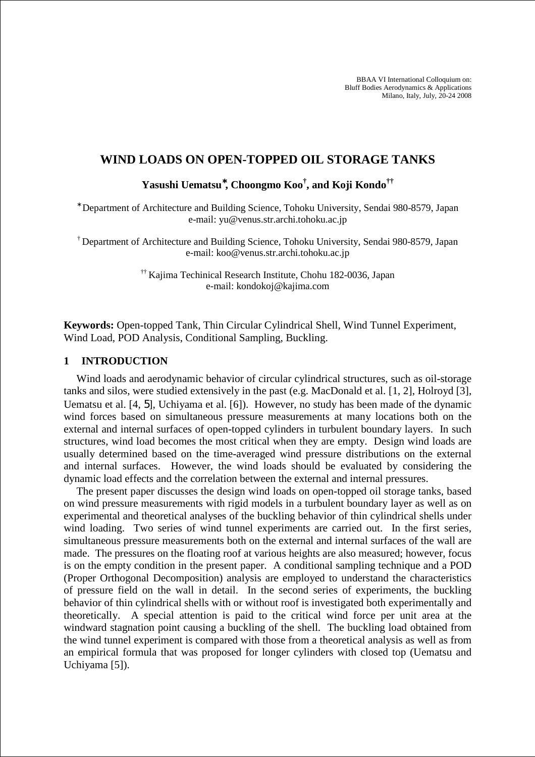BBAA VI International Colloquium on: Bluff Bodies Aerodynamics & Applications Milano, Italy, July, 20-24 2008

# **WIND LOADS ON OPEN-TOPPED OIL STORAGE TANKS**

**Yasushi Uematsu**<sup>∗</sup>**, Choongmo Koo† , and Koji Kondo††**

∗ Department of Architecture and Building Science, Tohoku University, Sendai 980-8579, Japan e-mail: yu@venus.str.archi.tohoku.ac.jp

† Department of Architecture and Building Science, Tohoku University, Sendai 980-8579, Japan e-mail: koo@venus.str.archi.tohoku.ac.jp

> †† Kajima Techinical Research Institute, Chohu 182-0036, Japan e-mail: kondokoj@kajima.com

**Keywords:** Open-topped Tank, Thin Circular Cylindrical Shell, Wind Tunnel Experiment, Wind Load, POD Analysis, Conditional Sampling, Buckling.

## **1 INTRODUCTION**

Wind loads and aerodynamic behavior of circular cylindrical structures, such as oil-storage tanks and silos, were studied extensively in the past (e.g. MacDonald et al. [1, 2], Holroyd [3], Uematsu et al. [4, 5], Uchiyama et al. [6]). However, no study has been made of the dynamic wind forces based on simultaneous pressure measurements at many locations both on the external and internal surfaces of open-topped cylinders in turbulent boundary layers. In such structures, wind load becomes the most critical when they are empty. Design wind loads are usually determined based on the time-averaged wind pressure distributions on the external and internal surfaces. However, the wind loads should be evaluated by considering the dynamic load effects and the correlation between the external and internal pressures.

The present paper discusses the design wind loads on open-topped oil storage tanks, based on wind pressure measurements with rigid models in a turbulent boundary layer as well as on experimental and theoretical analyses of the buckling behavior of thin cylindrical shells under wind loading. Two series of wind tunnel experiments are carried out. In the first series, simultaneous pressure measurements both on the external and internal surfaces of the wall are made. The pressures on the floating roof at various heights are also measured; however, focus is on the empty condition in the present paper. A conditional sampling technique and a POD (Proper Orthogonal Decomposition) analysis are employed to understand the characteristics of pressure field on the wall in detail. In the second series of experiments, the buckling behavior of thin cylindrical shells with or without roof is investigated both experimentally and theoretically. A special attention is paid to the critical wind force per unit area at the windward stagnation point causing a buckling of the shell. The buckling load obtained from the wind tunnel experiment is compared with those from a theoretical analysis as well as from an empirical formula that was proposed for longer cylinders with closed top (Uematsu and Uchiyama [5]).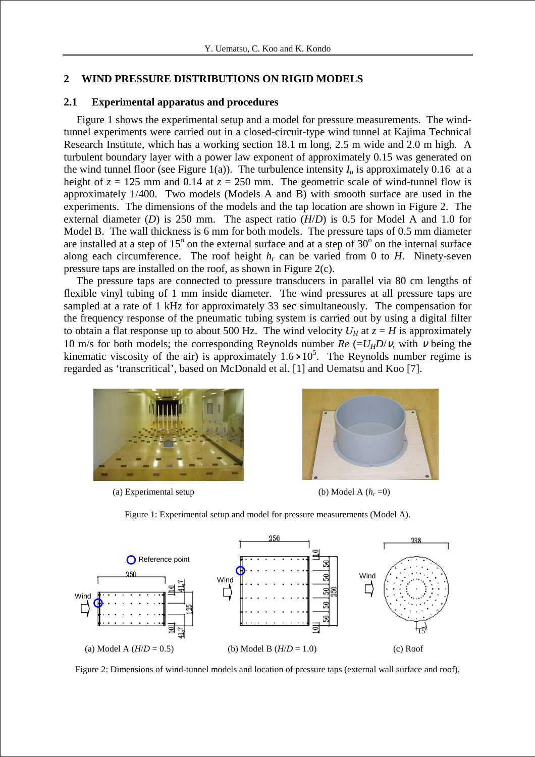# **2 WIND PRESSURE DISTRIBUTIONS ON RIGID MODELS**

## **2.1 Experimental apparatus and procedures**

Figure 1 shows the experimental setup and a model for pressure measurements. The windtunnel experiments were carried out in a closed-circuit-type wind tunnel at Kajima Technical Research Institute, which has a working section 18.1 m long, 2.5 m wide and 2.0 m high. A turbulent boundary layer with a power law exponent of approximately 0.15 was generated on the wind tunnel floor (see Figure 1(a)). The turbulence intensity  $I_u$  is approximately 0.16 at a height of  $z = 125$  mm and 0.14 at  $z = 250$  mm. The geometric scale of wind-tunnel flow is approximately 1/400. Two models (Models A and B) with smooth surface are used in the experiments. The dimensions of the models and the tap location are shown in Figure 2. The external diameter (*D*) is 250 mm. The aspect ratio  $(H/D)$  is 0.5 for Model A and 1.0 for Model B. The wall thickness is 6 mm for both models. The pressure taps of 0.5 mm diameter are installed at a step of  $15^{\circ}$  on the external surface and at a step of  $30^{\circ}$  on the internal surface along each circumference. The roof height  $h_r$  can be varied from 0 to  $H$ . Ninety-seven pressure taps are installed on the roof, as shown in Figure 2(c).

The pressure taps are connected to pressure transducers in parallel via 80 cm lengths of flexible vinyl tubing of 1 mm inside diameter. The wind pressures at all pressure taps are sampled at a rate of 1 kHz for approximately 33 sec simultaneously. The compensation for the frequency response of the pneumatic tubing system is carried out by using a digital filter to obtain a flat response up to about 500 Hz. The wind velocity  $U_H$  at  $z = H$  is approximately 10 m/s for both models; the corresponding Reynolds number  $Re = U_H D/v$ , with v being the kinematic viscosity of the air) is approximately  $1.6 \times 10^5$ . The Reynolds number regime is regarded as 'transcritical', based on McDonald et al. [1] and Uematsu and Koo [7].



(a) Experimental setup



(b) Model A  $(h_r=0)$ 



Figure 1: Experimental setup and model for pressure measurements (Model A).

Figure 2: Dimensions of wind-tunnel models and location of pressure taps (external wall surface and roof).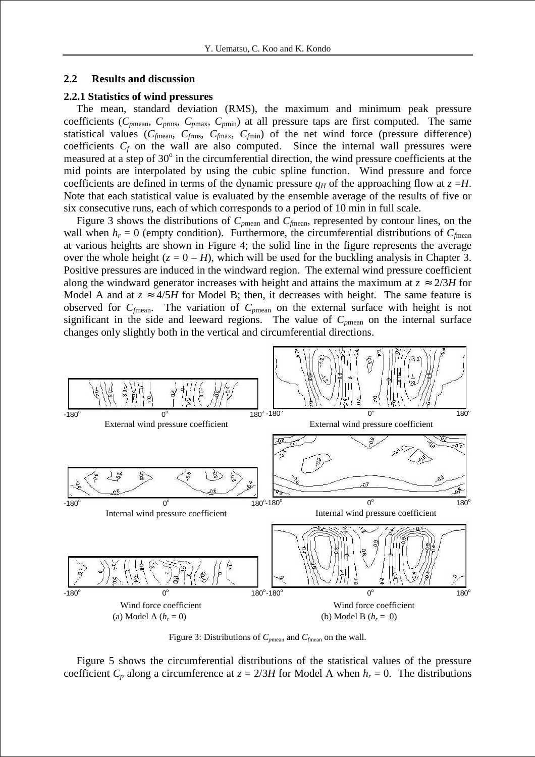## **2.2 Results and discussion**

## **2.2.1 Statistics of wind pressures**

The mean, standard deviation (RMS), the maximum and minimum peak pressure coefficients ( $C_{pmean}$ ,  $C_{pmax}$ ,  $C_{pmax}$ ,  $C_{pmin}$ ) at all pressure taps are first computed. The same statistical values ( $C_{\text{fmean}}$ ,  $C_{\text{fmax}}$ ,  $C_{\text{fmax}}$ ,  $C_{\text{fmin}}$ ) of the net wind force (pressure difference) coefficients  $C_f$  on the wall are also computed. Since the internal wall pressures were measured at a step of 30° in the circumferential direction, the wind pressure coefficients at the mid points are interpolated by using the cubic spline function. Wind pressure and force coefficients are defined in terms of the dynamic pressure  $q_H$  of the approaching flow at  $z = H$ . Note that each statistical value is evaluated by the ensemble average of the results of five or six consecutive runs, each of which corresponds to a period of 10 min in full scale.

Figure 3 shows the distributions of *Cp*mean and *Cf*mean, represented by contour lines, on the wall when  $h_r = 0$  (empty condition). Furthermore, the circumferential distributions of  $C_{\text{fmean}}$ at various heights are shown in Figure 4; the solid line in the figure represents the average over the whole height  $(z = 0 - H)$ , which will be used for the buckling analysis in Chapter 3. Positive pressures are induced in the windward region. The external wind pressure coefficient along the windward generator increases with height and attains the maximum at  $z \approx 2/3H$  for Model A and at  $z \approx 4/5H$  for Model B; then, it decreases with height. The same feature is observed for *Cf*mean. The variation of *Cp*mean on the external surface with height is not significant in the side and leeward regions. The value of  $C_{pmean}$  on the internal surface changes only slightly both in the vertical and circumferential directions.



Figure 3: Distributions of *Cp*mean and *Cf*mean on the wall.

Figure 5 shows the circumferential distributions of the statistical values of the pressure coefficient  $C_p$  along a circumference at  $z = 2/3H$  for Model A when  $h_r = 0$ . The distributions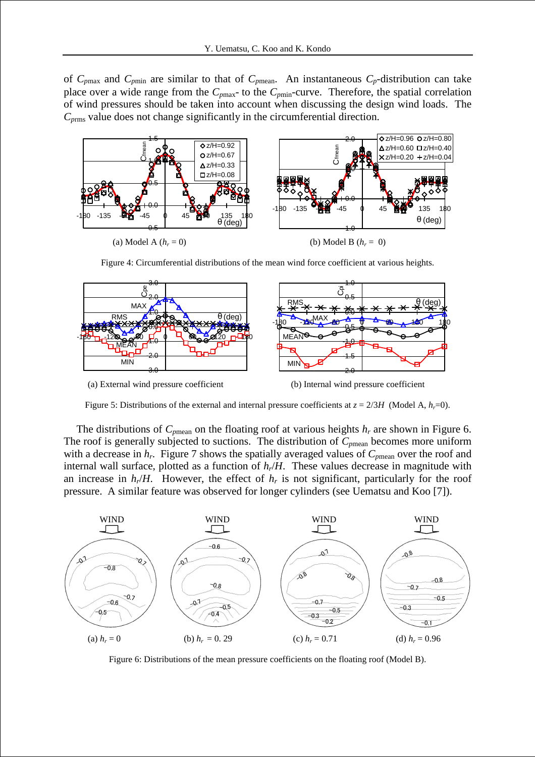of  $C_{pmax}$  and  $C_{pmin}$  are similar to that of  $C_{pmean}$ . An instantaneous  $C_p$ -distribution can take place over a wide range from the  $C_{pmax}$ - to the  $C_{pmin}$ -curve. Therefore, the spatial correlation of wind pressures should be taken into account when discussing the design wind loads. The *Cp*rms value does not change significantly in the circumferential direction.



Figure 4: Circumferential distributions of the mean wind force coefficient at various heights.



(a) External wind pressure coefficient (b) Internal wind pressure coefficient



Figure 5: Distributions of the external and internal pressure coefficients at  $z = 2/3H$  (Model A,  $h_r=0$ ).

The distributions of  $C_{pmean}$  on the floating roof at various heights  $h_r$  are shown in Figure 6. The roof is generally subjected to suctions. The distribution of  $C_{pmean}$  becomes more uniform with a decrease in  $h_r$ . Figure 7 shows the spatially averaged values of  $C_{pmean}$  over the roof and internal wall surface, plotted as a function of *hr*/*H*. These values decrease in magnitude with an increase in  $h_r/H$ . However, the effect of  $h_r$  is not significant, particularly for the roof pressure. A similar feature was observed for longer cylinders (see Uematsu and Koo [7]).



Figure 6: Distributions of the mean pressure coefficients on the floating roof (Model B).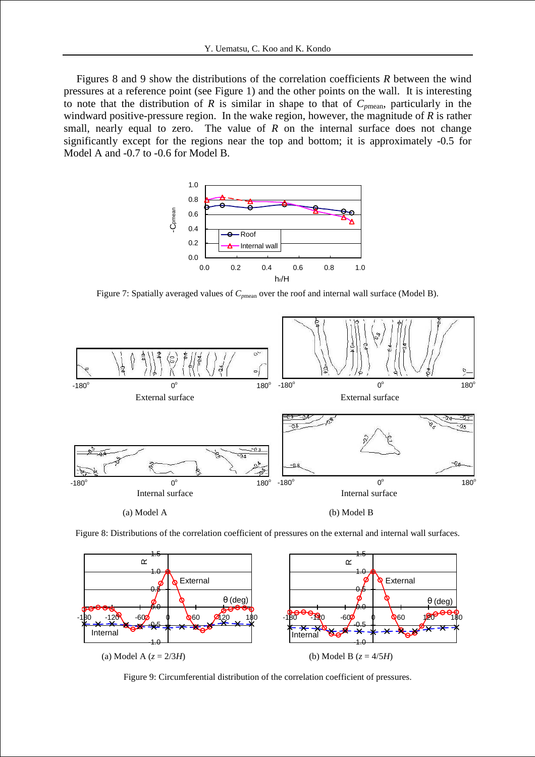Figures 8 and 9 show the distributions of the correlation coefficients *R* between the wind pressures at a reference point (see Figure 1) and the other points on the wall. It is interesting to note that the distribution of *R* is similar in shape to that of *Cp*mean, particularly in the windward positive-pressure region. In the wake region, however, the magnitude of *R* is rather small, nearly equal to zero. The value of  $R$  on the internal surface does not change significantly except for the regions near the top and bottom; it is approximately -0.5 for Model A and -0.7 to -0.6 for Model B.



Figure 7: Spatially averaged values of  $C_{pmean}$  over the roof and internal wall surface (Model B).



Figure 8: Distributions of the correlation coefficient of pressures on the external and internal wall surfaces.



Figure 9: Circumferential distribution of the correlation coefficient of pressures.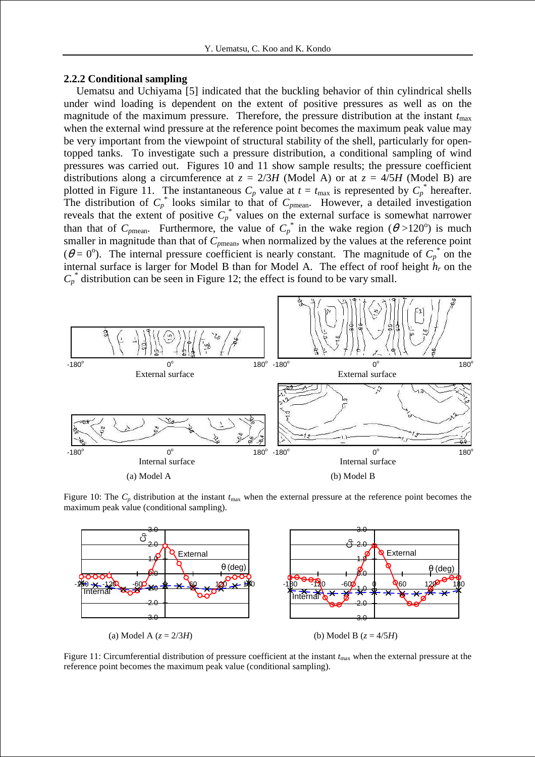## **2.2.2 Conditional sampling**

Uematsu and Uchiyama [5] indicated that the buckling behavior of thin cylindrical shells under wind loading is dependent on the extent of positive pressures as well as on the magnitude of the maximum pressure. Therefore, the pressure distribution at the instant  $t_{\text{max}}$ when the external wind pressure at the reference point becomes the maximum peak value may be very important from the viewpoint of structural stability of the shell, particularly for opentopped tanks. To investigate such a pressure distribution, a conditional sampling of wind pressures was carried out. Figures 10 and 11 show sample results; the pressure coefficient distributions along a circumference at  $z = 2/3H$  (Model A) or at  $z = 4/5H$  (Model B) are plotted in Figure 11. The instantaneous  $C_p$  value at  $t = t_{\text{max}}$  is represented by  $C_p^*$  hereafter. The distribution of  $C_p^*$  looks similar to that of  $C_{pmean}$ . However, a detailed investigation reveals that the extent of positive  $C_p^*$  values on the external surface is somewhat narrower than that of  $C_{pmean}$ . Furthermore, the value of  $C_p^*$  in the wake region ( $\theta > 120^\circ$ ) is much smaller in magnitude than that of  $C_{pmean}$ , when normalized by the values at the reference point  $(\theta = 0^{\circ})$ . The internal pressure coefficient is nearly constant. The magnitude of  $C_p^*$  on the internal surface is larger for Model B than for Model A. The effect of roof height *hr* on the  $C_p^*$  distribution can be seen in Figure 12; the effect is found to be vary small.



Figure 10: The  $C_p$  distribution at the instant  $t_{\text{max}}$  when the external pressure at the reference point becomes the maximum peak value (conditional sampling).



Figure 11: Circumferential distribution of pressure coefficient at the instant  $t_{\text{max}}$  when the external pressure at the reference point becomes the maximum peak value (conditional sampling).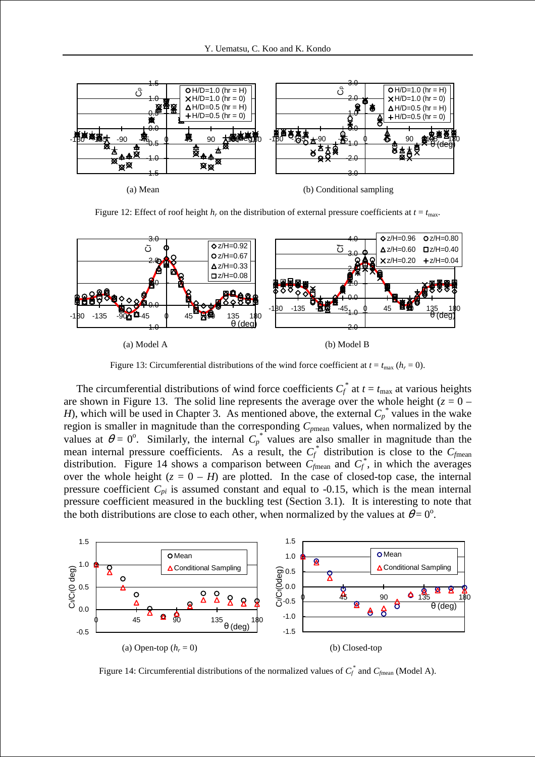

Figure 12: Effect of roof height  $h_r$  on the distribution of external pressure coefficients at  $t = t_{\text{max}}$ .



Figure 13: Circumferential distributions of the wind force coefficient at  $t = t_{\text{max}} (h_r = 0)$ .

The circumferential distributions of wind force coefficients  $C_f^*$  at  $t = t_{\text{max}}$  at various heights are shown in Figure 13. The solid line represents the average over the whole height ( $z = 0$  – *H*), which will be used in Chapter 3. As mentioned above, the external  $C_p^*$  values in the wake region is smaller in magnitude than the corresponding *Cp*mean values, when normalized by the values at  $\theta = 0^{\circ}$ . Similarly, the internal  $C_p^*$  values are also smaller in magnitude than the mean internal pressure coefficients. As a result, the  $C_f^*$  distribution is close to the  $C_f$ <sub>mean</sub> distribution. Figure 14 shows a comparison between  $C_{\text{fmean}}$  and  $C_f^*$ , in which the averages over the whole height  $(z = 0 - H)$  are plotted. In the case of closed-top case, the internal pressure coefficient  $C_{pi}$  is assumed constant and equal to -0.15, which is the mean internal pressure coefficient measured in the buckling test (Section 3.1). It is interesting to note that the both distributions are close to each other, when normalized by the values at  $\theta = 0^{\circ}$ .



Figure 14: Circumferential distributions of the normalized values of  $C_f^*$  and  $C_{fmean}$  (Model A).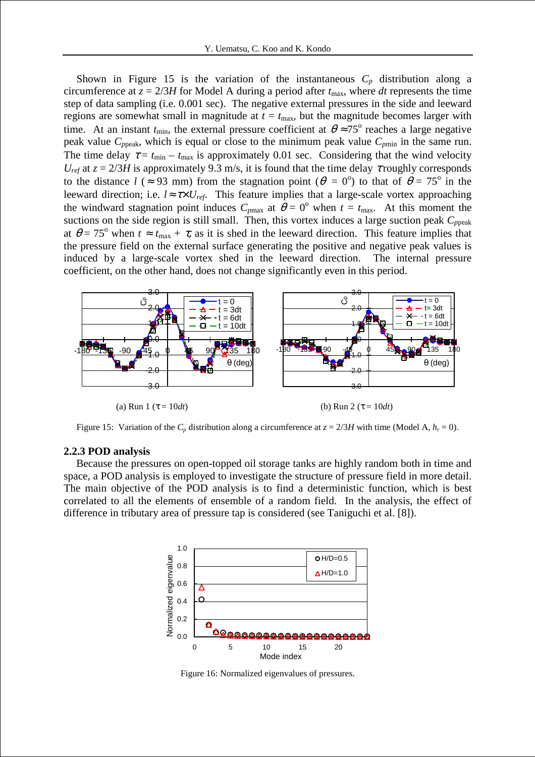Shown in Figure 15 is the variation of the instantaneous  $C_p$  distribution along a circumference at  $z = 2/3H$  for Model A during a period after  $t_{\text{max}}$ , where *dt* represents the time step of data sampling (i.e. 0.001 sec). The negative external pressures in the side and leeward regions are somewhat small in magnitude at  $t = t_{\text{max}}$ , but the magnitude becomes larger with time. At an instant  $t_{\text{min}}$ , the external pressure coefficient at  $\theta \approx 75^{\circ}$  reaches a large negative peak value  $C_{ppeak}$ , which is equal or close to the minimum peak value  $C_{pmin}$  in the same run. The time delay  $\tau = t_{\text{min}} - t_{\text{max}}$  is approximately 0.01 sec. Considering that the wind velocity *U*<sub>ref</sub> at  $z = 2/3H$  is approximately 9.3 m/s, it is found that the time delay  $\tau$  roughly corresponds to the distance  $l$  ( $\approx$  93 mm) from the stagnation point ( $\theta = 0^{\circ}$ ) to that of  $\theta = 75^{\circ}$  in the leeward direction; i.e.  $l \approx \tau \times U_{ref}$ . This feature implies that a large-scale vortex approaching the windward stagnation point induces  $C_{pmax}$  at  $\theta = 0^{\circ}$  when  $t = t_{max}$ . At this moment the suctions on the side region is still small. Then, this vortex induces a large suction peak  $C_{\text{peak}}$ at  $\theta = 75^{\circ}$  when  $t \approx t_{\text{max}} + \tau$ , as it is shed in the leeward direction. This feature implies that the pressure field on the external surface generating the positive and negative peak values is induced by a large-scale vortex shed in the leeward direction. The internal pressure coefficient, on the other hand, does not change significantly even in this period.



(a) Run 1 ( $\tau = 10dt$ ) (b) Run 2 ( $\tau = 10dt$ )

Figure 15: Variation of the  $C_p$  distribution along a circumference at  $z = 2/3H$  with time (Model A,  $h_r = 0$ ).

## **2.2.3 POD analysis**

Because the pressures on open-topped oil storage tanks are highly random both in time and space, a POD analysis is employed to investigate the structure of pressure field in more detail. The main objective of the POD analysis is to find a deterministic function, which is best correlated to all the elements of ensemble of a random field. In the analysis, the effect of difference in tributary area of pressure tap is considered (see Taniguchi et al. [8]).



Figure 16: Normalized eigenvalues of pressures.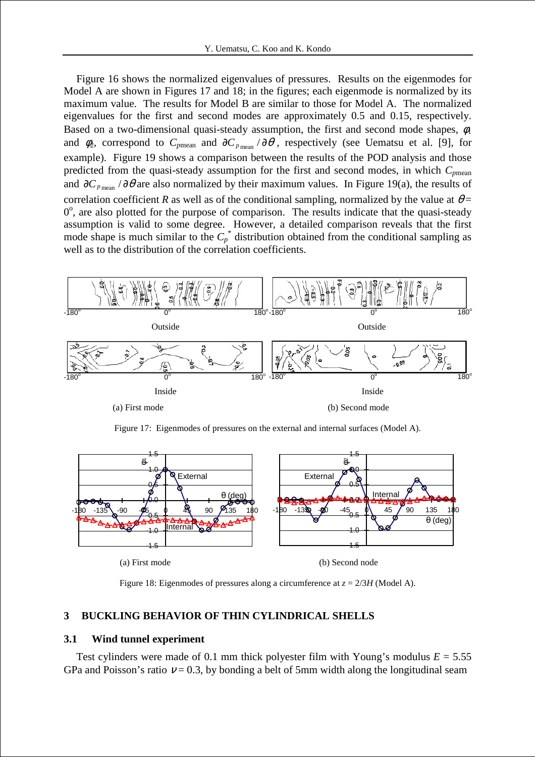Figure 16 shows the normalized eigenvalues of pressures. Results on the eigenmodes for Model A are shown in Figures 17 and 18; in the figures; each eigenmode is normalized by its maximum value. The results for Model B are similar to those for Model A. The normalized eigenvalues for the first and second modes are approximately 0.5 and 0.15, respectively. Based on a two-dimensional quasi-steady assumption, the first and second mode shapes,  $\phi_1$ and  $\phi_2$ , correspond to  $C_{pmean}$  and  $\partial C_{pmean}/\partial \theta$ , respectively (see Uematsu et al. [9], for example). Figure 19 shows a comparison between the results of the POD analysis and those predicted from the quasi-steady assumption for the first and second modes, in which *Cp*mean and  $\partial C_{p_{\text{mean}}}$  /  $\partial \theta$  are also normalized by their maximum values. In Figure 19(a), the results of correlation coefficient *R* as well as of the conditional sampling, normalized by the value at  $\theta$  = 0°, are also plotted for the purpose of comparison. The results indicate that the quasi-steady assumption is valid to some degree. However, a detailed comparison reveals that the first mode shape is much similar to the  $C_p^*$  distribution obtained from the conditional sampling as well as to the distribution of the correlation coefficients.



Figure 17: Eigenmodes of pressures on the external and internal surfaces (Model A).



Figure 18: Eigenmodes of pressures along a circumference at *z* = 2/3*H* (Model A).

# **3 BUCKLING BEHAVIOR OF THIN CYLINDRICAL SHELLS**

# **3.1 Wind tunnel experiment**

Test cylinders were made of 0.1 mm thick polyester film with Young's modulus  $E = 5.55$ GPa and Poisson's ratio  $v = 0.3$ , by bonding a belt of 5mm width along the longitudinal seam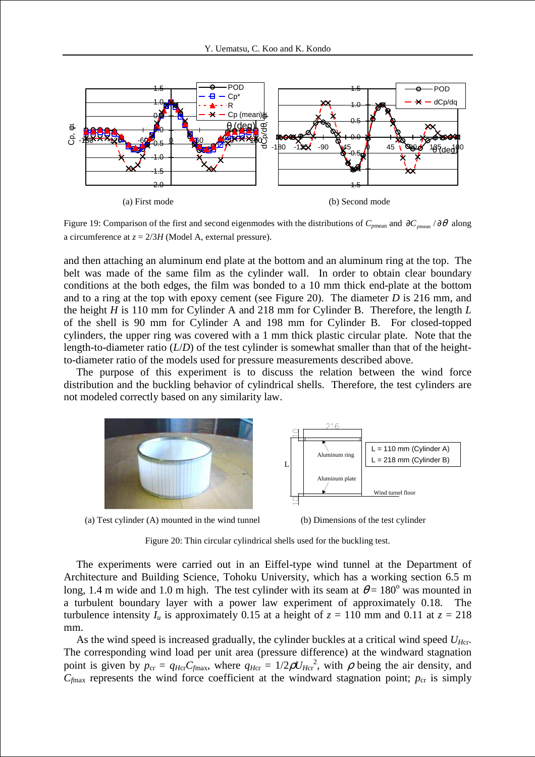

Figure 19: Comparison of the first and second eigenmodes with the distributions of  $C_{pmean}$  and  $\partial C_{pmean} / \partial \theta$  along a circumference at  $z = 2/3H$  (Model A, external pressure).

and then attaching an aluminum end plate at the bottom and an aluminum ring at the top. The belt was made of the same film as the cylinder wall. In order to obtain clear boundary conditions at the both edges, the film was bonded to a 10 mm thick end-plate at the bottom and to a ring at the top with epoxy cement (see Figure 20). The diameter *D* is 216 mm, and the height *H* is 110 mm for Cylinder A and 218 mm for Cylinder B. Therefore, the length *L* of the shell is 90 mm for Cylinder A and 198 mm for Cylinder B. For closed-topped cylinders, the upper ring was covered with a 1 mm thick plastic circular plate. Note that the length-to-diameter ratio (*L*/*D*) of the test cylinder is somewhat smaller than that of the heightto-diameter ratio of the models used for pressure measurements described above.

The purpose of this experiment is to discuss the relation between the wind force distribution and the buckling behavior of cylindrical shells. Therefore, the test cylinders are not modeled correctly based on any similarity law.



(a) Test cylinder (A) mounted in the wind tunnel (b) Dimensions of the test cylinder



Figure 20: Thin circular cylindrical shells used for the buckling test.

The experiments were carried out in an Eiffel-type wind tunnel at the Department of Architecture and Building Science, Tohoku University, which has a working section 6.5 m long, 1.4 m wide and 1.0 m high. The test cylinder with its seam at  $\theta = 180^\circ$  was mounted in a turbulent boundary layer with a power law experiment of approximately 0.18. The turbulence intensity  $I_u$  is approximately 0.15 at a height of  $z = 110$  mm and 0.11 at  $z = 218$ mm.

As the wind speed is increased gradually, the cylinder buckles at a critical wind speed *UH*cr. The corresponding wind load per unit area (pressure difference) at the windward stagnation point is given by  $p_{cr} = q_{Hcr}C_{fmax}$ , where  $q_{Hcr} = 1/2 \rho U_{Hcr}^2$ , with  $\rho$  being the air density, and  $C_{\text{fmax}}$  represents the wind force coefficient at the windward stagnation point;  $p_{cr}$  is simply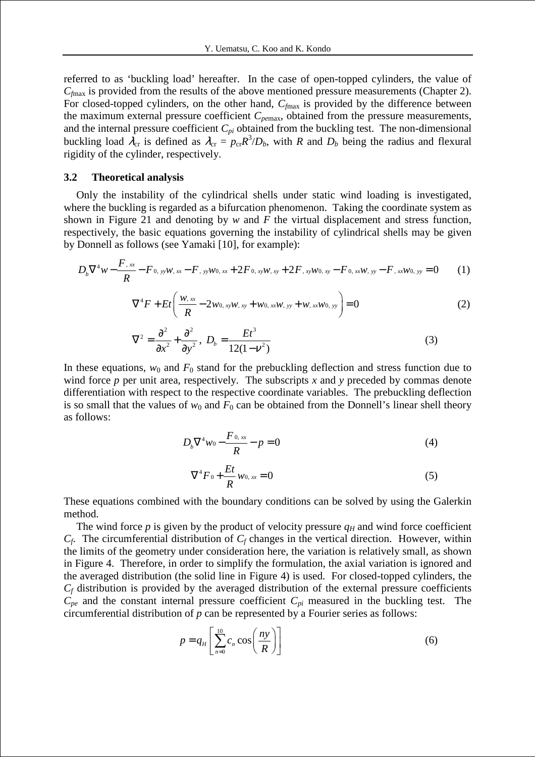referred to as 'buckling load' hereafter. In the case of open-topped cylinders, the value of *Cf*max is provided from the results of the above mentioned pressure measurements (Chapter 2). For closed-topped cylinders, on the other hand,  $C_{\text{fmax}}$  is provided by the difference between the maximum external pressure coefficient *Cpe*max, obtained from the pressure measurements, and the internal pressure coefficient  $C_{pi}$  obtained from the buckling test. The non-dimensional buckling load  $\lambda_{cr}$  is defined as  $\lambda_{cr} = p_{cr}R^3/D_b$ , with *R* and  $D_b$  being the radius and flexural rigidity of the cylinder, respectively.

## **3.2 Theoretical analysis**

Only the instability of the cylindrical shells under static wind loading is investigated, where the buckling is regarded as a bifurcation phenomenon. Taking the coordinate system as shown in Figure 21 and denoting by *w* and *F* the virtual displacement and stress function, respectively, the basic equations governing the instability of cylindrical shells may be given by Donnell as follows (see Yamaki [10], for example):

$$
D_b \nabla^4 w - \frac{F_{,xx}}{R} - F_{,yy}w_{,xx} - F_{,yy}w_{,xx} + 2F_{,xy}w_{,xy} + 2F_{,xy}w_{,xy} - F_{,xx}w_{,yy} - F_{,xx}w_{,yy} = 0
$$
 (1)

$$
\nabla^4 F + Et \left( \frac{w_{,xx}}{R} - 2w_{0,xy}w_{,xy} + w_{0,xx}w_{,yy} + w_{,xx}w_{0,yy} \right) = 0
$$
 (2)

$$
\nabla^2 = \frac{\partial^2}{\partial x^2} + \frac{\partial^2}{\partial y^2}, \ D_b = \frac{Et^3}{12(1 - v^2)}\tag{3}
$$

In these equations,  $w_0$  and  $F_0$  stand for the prebuckling deflection and stress function due to wind force *p* per unit area, respectively. The subscripts *x* and *y* preceded by commas denote differentiation with respect to the respective coordinate variables. The prebuckling deflection is so small that the values of  $w_0$  and  $F_0$  can be obtained from the Donnell's linear shell theory as follows:

$$
D_b \nabla^4 w_0 - \frac{F_{0,xx}}{R} - p = 0 \tag{4}
$$

$$
\nabla^4 F_0 + \frac{Et}{R} w_{0,xx} = 0 \tag{5}
$$

These equations combined with the boundary conditions can be solved by using the Galerkin method.

The wind force  $p$  is given by the product of velocity pressure  $q<sub>H</sub>$  and wind force coefficient  $C_f$ . The circumferential distribution of  $C_f$  changes in the vertical direction. However, within the limits of the geometry under consideration here, the variation is relatively small, as shown in Figure 4. Therefore, in order to simplify the formulation, the axial variation is ignored and the averaged distribution (the solid line in Figure 4) is used. For closed-topped cylinders, the  $C_f$  distribution is provided by the averaged distribution of the external pressure coefficients  $C_{pe}$  and the constant internal pressure coefficient  $C_{pi}$  measured in the buckling test. The circumferential distribution of *p* can be represented by a Fourier series as follows:

$$
p = q_H \left[ \sum_{n=0}^{10} c_n \cos \left( \frac{ny}{R} \right) \right]
$$
 (6)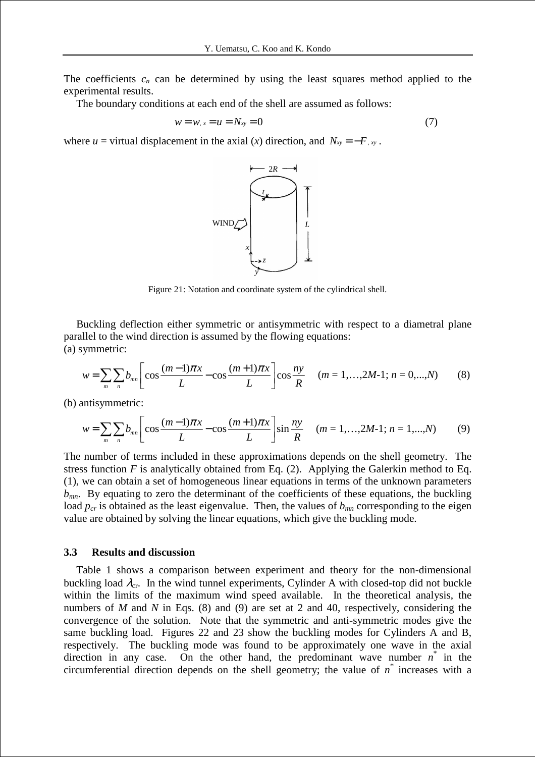The coefficients  $c_n$  can be determined by using the least squares method applied to the experimental results.

The boundary conditions at each end of the shell are assumed as follows:

$$
w = w, x = u = N_{xy} = 0 \tag{7}
$$

where  $u =$  virtual displacement in the axial  $(x)$  direction, and  $N_{xy} = -F_{xy}$ .



Figure 21: Notation and coordinate system of the cylindrical shell.

Buckling deflection either symmetric or antisymmetric with respect to a diametral plane parallel to the wind direction is assumed by the flowing equations: (a) symmetric:

$$
w = \sum_{m} \sum_{n} b_{mn} \left[ \cos \frac{(m-1)\pi x}{L} - \cos \frac{(m+1)\pi x}{L} \right] \cos \frac{ny}{R} \quad (m = 1, ..., 2M-1; n = 0, ..., N) \tag{8}
$$

(b) antisymmetric:

$$
w = \sum_{m} \sum_{n} b_{mn} \left[ \cos \frac{(m-1)\pi x}{L} - \cos \frac{(m+1)\pi x}{L} \right] \sin \frac{ny}{R} \quad (m = 1, ..., 2M-1; n = 1, ..., N) \tag{9}
$$

The number of terms included in these approximations depends on the shell geometry. The stress function  $F$  is analytically obtained from Eq. (2). Applying the Galerkin method to Eq. (1), we can obtain a set of homogeneous linear equations in terms of the unknown parameters  $b_{mn}$ . By equating to zero the determinant of the coefficients of these equations, the buckling load  $p_{cr}$  is obtained as the least eigenvalue. Then, the values of  $b_{mn}$  corresponding to the eigen value are obtained by solving the linear equations, which give the buckling mode.

#### **3.3 Results and discussion**

Table 1 shows a comparison between experiment and theory for the non-dimensional buckling load  $\lambda_{cr}$ . In the wind tunnel experiments, Cylinder A with closed-top did not buckle within the limits of the maximum wind speed available. In the theoretical analysis, the numbers of *M* and *N* in Eqs. (8) and (9) are set at 2 and 40, respectively, considering the convergence of the solution. Note that the symmetric and anti-symmetric modes give the same buckling load. Figures 22 and 23 show the buckling modes for Cylinders A and B, respectively. The buckling mode was found to be approximately one wave in the axial direction in any case. On the other hand, the predominant wave number  $n^*$  in the circumferential direction depends on the shell geometry; the value of  $n^*$  increases with a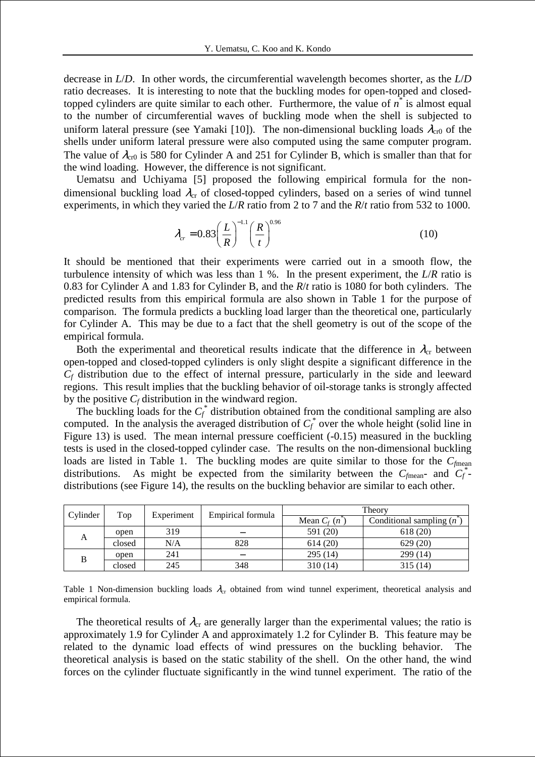decrease in *L*/*D*. In other words, the circumferential wavelength becomes shorter, as the *L*/*D* ratio decreases. It is interesting to note that the buckling modes for open-topped and closedtopped cylinders are quite similar to each other. Furthermore, the value of  $\vec{n}$  is almost equal to the number of circumferential waves of buckling mode when the shell is subjected to uniform lateral pressure (see Yamaki [10]). The non-dimensional buckling loads  $\lambda_{cr0}$  of the shells under uniform lateral pressure were also computed using the same computer program. The value of  $\lambda_{cr0}$  is 580 for Cylinder A and 251 for Cylinder B, which is smaller than that for the wind loading. However, the difference is not significant.

Uematsu and Uchiyama [5] proposed the following empirical formula for the nondimensional buckling load  $\lambda_{cr}$  of closed-topped cylinders, based on a series of wind tunnel experiments, in which they varied the *L*/*R* ratio from 2 to 7 and the *R*/*t* ratio from 532 to 1000.

$$
\lambda_{cr} = 0.83 \left( \frac{L}{R} \right)^{-1.1} \left( \frac{R}{t} \right)^{0.96} \tag{10}
$$

It should be mentioned that their experiments were carried out in a smooth flow, the turbulence intensity of which was less than 1 %. In the present experiment, the *L*/*R* ratio is 0.83 for Cylinder A and 1.83 for Cylinder B, and the *R*/*t* ratio is 1080 for both cylinders. The predicted results from this empirical formula are also shown in Table 1 for the purpose of comparison. The formula predicts a buckling load larger than the theoretical one, particularly for Cylinder A. This may be due to a fact that the shell geometry is out of the scope of the empirical formula.

Both the experimental and theoretical results indicate that the difference in  $\lambda_{cr}$  between open-topped and closed-topped cylinders is only slight despite a significant difference in the  $C_f$  distribution due to the effect of internal pressure, particularly in the side and leeward regions. This result implies that the buckling behavior of oil-storage tanks is strongly affected by the positive  $C_f$  distribution in the windward region.

The buckling loads for the  $C_f^*$  distribution obtained from the conditional sampling are also computed. In the analysis the averaged distribution of  $C_f^*$  over the whole height (solid line in Figure 13) is used. The mean internal pressure coefficient (-0.15) measured in the buckling tests is used in the closed-topped cylinder case. The results on the non-dimensional buckling loads are listed in Table 1. The buckling modes are quite similar to those for the  $C_{\text{fmean}}$ distributions. As might be expected from the similarity between the  $C_{\text{fmean}}$  and  $C_f^*$ distributions (see Figure 14), the results on the buckling behavior are similar to each other.

| Cylinder | Top    | Experiment | Empirical formula | Theory        |                                     |
|----------|--------|------------|-------------------|---------------|-------------------------------------|
|          |        |            |                   | Mean $C_f(n)$ | Conditional sampling $(n^{\gamma})$ |
|          | open   | 319        |                   | 591 (20)      | 618(20)                             |
|          | closed | N/A        | 828               | 614(20)       | 629(20)                             |
| B        | open   | 241        |                   | 295(14)       | 299 (14)                            |
|          | closed | 245        | 348               | 310(14)       | 315 (14)                            |

Table 1 Non-dimension buckling loads  $\lambda_{cr}$  obtained from wind tunnel experiment, theoretical analysis and empirical formula.

The theoretical results of  $\lambda_{cr}$  are generally larger than the experimental values; the ratio is approximately 1.9 for Cylinder A and approximately 1.2 for Cylinder B. This feature may be related to the dynamic load effects of wind pressures on the buckling behavior. The theoretical analysis is based on the static stability of the shell. On the other hand, the wind forces on the cylinder fluctuate significantly in the wind tunnel experiment. The ratio of the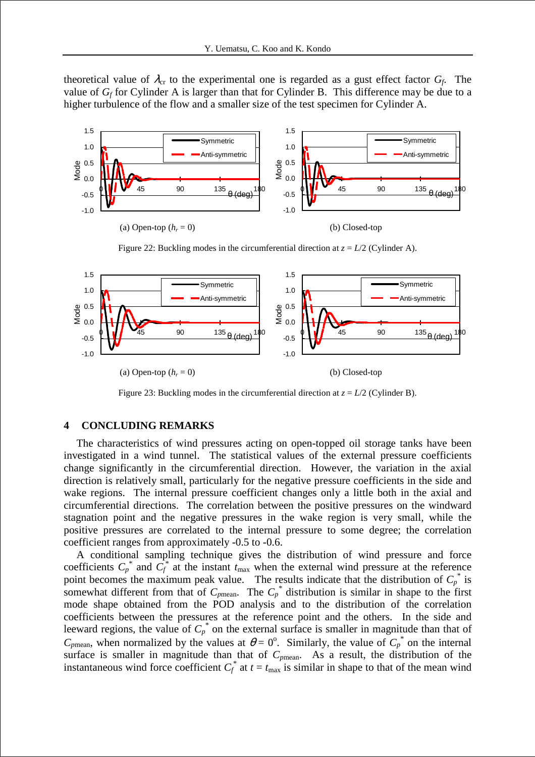theoretical value of  $\lambda_{cr}$  to the experimental one is regarded as a gust effect factor  $G_f$ . The value of  $G_f$  for Cylinder A is larger than that for Cylinder B. This difference may be due to a higher turbulence of the flow and a smaller size of the test specimen for Cylinder A.



Figure 22: Buckling modes in the circumferential direction at  $z = L/2$  (Cylinder A).



Figure 23: Buckling modes in the circumferential direction at  $z = L/2$  (Cylinder B).

#### **4 CONCLUDING REMARKS**

The characteristics of wind pressures acting on open-topped oil storage tanks have been investigated in a wind tunnel. The statistical values of the external pressure coefficients change significantly in the circumferential direction. However, the variation in the axial direction is relatively small, particularly for the negative pressure coefficients in the side and wake regions. The internal pressure coefficient changes only a little both in the axial and circumferential directions. The correlation between the positive pressures on the windward stagnation point and the negative pressures in the wake region is very small, while the positive pressures are correlated to the internal pressure to some degree; the correlation coefficient ranges from approximately -0.5 to -0.6.

A conditional sampling technique gives the distribution of wind pressure and force coefficients  $C_p^*$  and  $C_f^*$  at the instant  $t_{\text{max}}$  when the external wind pressure at the reference point becomes the maximum peak value. The results indicate that the distribution of  $C_p^*$  is somewhat different from that of  $C_{p$ <sup>\*</sup> distribution is similar in shape to the first mode shape obtained from the POD analysis and to the distribution of the correlation coefficients between the pressures at the reference point and the others. In the side and leeward regions, the value of  $C_p^*$  on the external surface is smaller in magnitude than that of  $C_{p$ mean, when normalized by the values at  $\theta = 0^{\circ}$ . Similarly, the value of  $C_p^*$  on the internal surface is smaller in magnitude than that of  $C_{pmean}$ . As a result, the distribution of the instantaneous wind force coefficient  $C_f^*$  at  $t = t_{\text{max}}$  is similar in shape to that of the mean wind